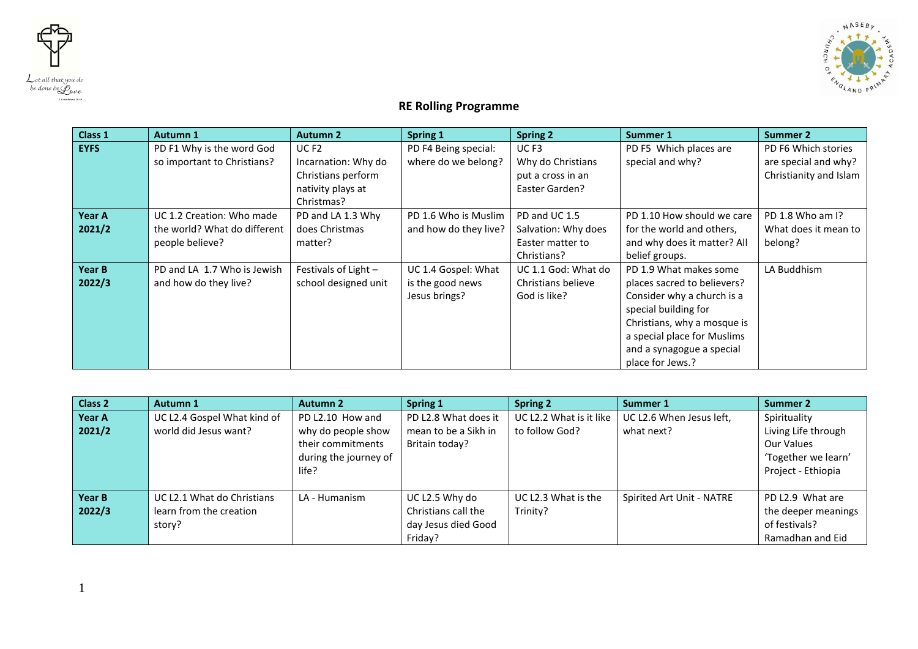



## **RE Rolling Programme**

| Class 1     | Autumn 1                     | <b>Autumn 2</b>      | Spring 1              | <b>Spring 2</b>     | <b>Summer 1</b>             | <b>Summer 2</b>        |
|-------------|------------------------------|----------------------|-----------------------|---------------------|-----------------------------|------------------------|
| <b>EYFS</b> | PD F1 Why is the word God    | UC <sub>F2</sub>     | PD F4 Being special:  | UC <sub>F3</sub>    | PD F5 Which places are      | PD F6 Which stories    |
|             | so important to Christians?  | Incarnation: Why do  | where do we belong?   | Why do Christians   | special and why?            | are special and why?   |
|             |                              | Christians perform   |                       | put a cross in an   |                             | Christianity and Islam |
|             |                              | nativity plays at    |                       | Easter Garden?      |                             |                        |
|             |                              | Christmas?           |                       |                     |                             |                        |
| Year A      | UC 1.2 Creation: Who made    | PD and LA 1.3 Why    | PD 1.6 Who is Muslim  | PD and UC 1.5       | PD 1.10 How should we care  | PD 1.8 Who am I?       |
| 2021/2      | the world? What do different | does Christmas       | and how do they live? | Salvation: Why does | for the world and others,   | What does it mean to   |
|             | people believe?              | matter?              |                       | Easter matter to    | and why does it matter? All | belong?                |
|             |                              |                      |                       | Christians?         | belief groups.              |                        |
| Year B      | PD and LA 1.7 Who is Jewish  | Festivals of Light - | UC 1.4 Gospel: What   | UC 1.1 God: What do | PD 1.9 What makes some      | LA Buddhism            |
| 2022/3      | and how do they live?        | school designed unit | is the good news      | Christians believe  | places sacred to believers? |                        |
|             |                              |                      | Jesus brings?         | God is like?        | Consider why a church is a  |                        |
|             |                              |                      |                       |                     | special building for        |                        |
|             |                              |                      |                       |                     | Christians, why a mosque is |                        |
|             |                              |                      |                       |                     | a special place for Muslims |                        |
|             |                              |                      |                       |                     | and a synagogue a special   |                        |
|             |                              |                      |                       |                     | place for Jews.?            |                        |

| Class <sub>2</sub> | Autumn 1                                                        | <b>Autumn 2</b>                                                                               | Spring 1                                                                | <b>Spring 2</b>                           | Summer 1                               | <b>Summer 2</b>                                                                                |
|--------------------|-----------------------------------------------------------------|-----------------------------------------------------------------------------------------------|-------------------------------------------------------------------------|-------------------------------------------|----------------------------------------|------------------------------------------------------------------------------------------------|
| Year A<br>2021/2   | UC L2.4 Gospel What kind of<br>world did Jesus want?            | PD L2.10 How and<br>why do people show<br>their commitments<br>during the journey of<br>life? | PD L2.8 What does it<br>mean to be a Sikh in<br>Britain today?          | UC L2.2 What is it like<br>to follow God? | UC L2.6 When Jesus left,<br>what next? | Spirituality<br>Living Life through<br>Our Values<br>'Together we learn'<br>Project - Ethiopia |
| Year B<br>2022/3   | UC L2.1 What do Christians<br>learn from the creation<br>story? | LA - Humanism                                                                                 | UC L2.5 Why do<br>Christians call the<br>day Jesus died Good<br>Friday? | UC L2.3 What is the<br>Trinity?           | Spirited Art Unit - NATRE              | PD L2.9 What are<br>the deeper meanings<br>of festivals?<br>Ramadhan and Eid                   |